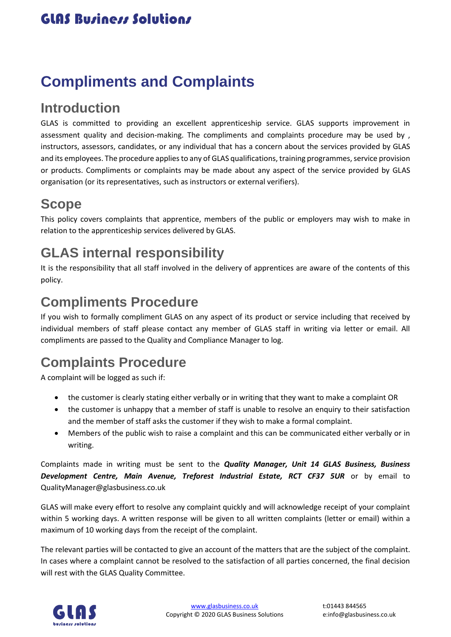# **Compliments and Complaints**

#### **Introduction**

GLAS is committed to providing an excellent apprenticeship service. GLAS supports improvement in assessment quality and decision-making. The compliments and complaints procedure may be used by , instructors, assessors, candidates, or any individual that has a concern about the services provided by GLAS and its employees. The procedure applies to any of GLAS qualifications, training programmes, service provision or products. Compliments or complaints may be made about any aspect of the service provided by GLAS organisation (or its representatives, such as instructors or external verifiers).

#### **Scope**

This policy covers complaints that apprentice, members of the public or employers may wish to make in relation to the apprenticeship services delivered by GLAS.

### **GLAS internal responsibility**

It is the responsibility that all staff involved in the delivery of apprentices are aware of the contents of this policy.

### **Compliments Procedure**

If you wish to formally compliment GLAS on any aspect of its product or service including that received by individual members of staff please contact any member of GLAS staff in writing via letter or email. All compliments are passed to the Quality and Compliance Manager to log.

# **Complaints Procedure**

A complaint will be logged as such if:

- the customer is clearly stating either verbally or in writing that they want to make a complaint OR
- the customer is unhappy that a member of staff is unable to resolve an enquiry to their satisfaction and the member of staff asks the customer if they wish to make a formal complaint.
- Members of the public wish to raise a complaint and this can be communicated either verbally or in writing.

Complaints made in writing must be sent to the *Quality Manager, Unit 14 GLAS Business, Business Development Centre, Main Avenue, Treforest Industrial Estate, RCT CF37 5UR* or by email to QualityManager@glasbusiness.co.uk

GLAS will make every effort to resolve any complaint quickly and will acknowledge receipt of your complaint within 5 working days. A written response will be given to all written complaints (letter or email) within a maximum of 10 working days from the receipt of the complaint.

The relevant parties will be contacted to give an account of the matters that are the subject of the complaint. In cases where a complaint cannot be resolved to the satisfaction of all parties concerned, the final decision will rest with the GLAS Quality Committee.

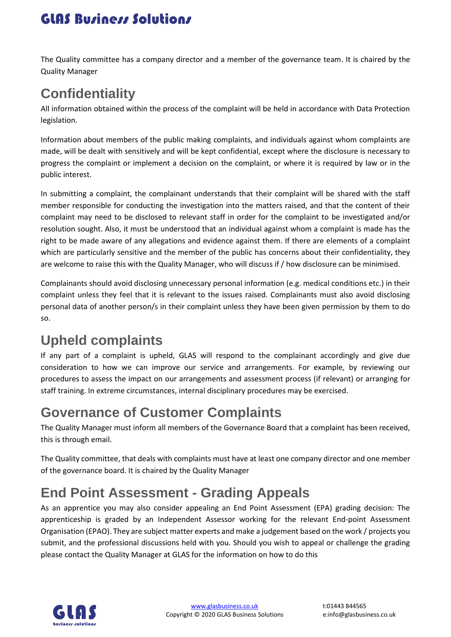### **GLAS Business Solutions**

The Quality committee has a company director and a member of the governance team. It is chaired by the Quality Manager

# **Confidentiality**

All information obtained within the process of the complaint will be held in accordance with Data Protection legislation.

Information about members of the public making complaints, and individuals against whom complaints are made, will be dealt with sensitively and will be kept confidential, except where the disclosure is necessary to progress the complaint or implement a decision on the complaint, or where it is required by law or in the public interest.

In submitting a complaint, the complainant understands that their complaint will be shared with the staff member responsible for conducting the investigation into the matters raised, and that the content of their complaint may need to be disclosed to relevant staff in order for the complaint to be investigated and/or resolution sought. Also, it must be understood that an individual against whom a complaint is made has the right to be made aware of any allegations and evidence against them. If there are elements of a complaint which are particularly sensitive and the member of the public has concerns about their confidentiality, they are welcome to raise this with the Quality Manager, who will discuss if / how disclosure can be minimised.

Complainants should avoid disclosing unnecessary personal information (e.g. medical conditions etc.) in their complaint unless they feel that it is relevant to the issues raised. Complainants must also avoid disclosing personal data of another person/s in their complaint unless they have been given permission by them to do so.

# **Upheld complaints**

If any part of a complaint is upheld, GLAS will respond to the complainant accordingly and give due consideration to how we can improve our service and arrangements. For example, by reviewing our procedures to assess the impact on our arrangements and assessment process (if relevant) or arranging for staff training. In extreme circumstances, internal disciplinary procedures may be exercised.

### **Governance of Customer Complaints**

The Quality Manager must inform all members of the Governance Board that a complaint has been received, this is through email.

The Quality committee, that deals with complaints must have at least one company director and one member of the governance board. It is chaired by the Quality Manager

# **End Point Assessment - Grading Appeals**

As an apprentice you may also consider appealing an End Point Assessment (EPA) grading decision: The apprenticeship is graded by an Independent Assessor working for the relevant End-point Assessment Organisation (EPAO). They are subject matter experts and make a judgement based on the work / projects you submit, and the professional discussions held with you. Should you wish to appeal or challenge the grading please contact the Quality Manager at GLAS for the information on how to do this